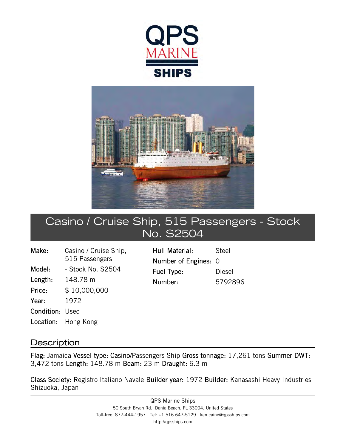



## Casino / Cruise Ship, 515 Passengers - Stock No. S2504

Make: Casino / Cruise Ship, 515 Passengers Model: - Stock No. S2504 Length: 148.78 m Price: \$ 10,000,000 Year: 1972 Condition: Used Location: Hong Kong

Hull Material: Steel Number of Engines: 0 Fuel Type: Diesel Number: 5792896

## **Description**

Flag: Jamaica Vessel type: Casino/Passengers Ship Gross tonnage: 17,261 tons Summer DWT: 3,472 tons Length: 148.78 m Beam: 23 m Draught: 6.3 m

Class Society: Registro Italiano Navale Builder year: 1972 Builder: Kanasashi Heavy Industries Shizuoka, Japan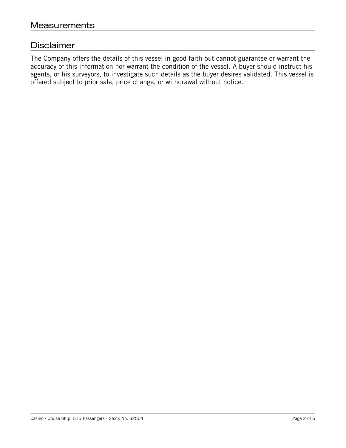## **Disclaimer**

The Company offers the details of this vessel in good faith but cannot guarantee or warrant the accuracy of this information nor warrant the condition of the vessel. A buyer should instruct his agents, or his surveyors, to investigate such details as the buyer desires validated. This vessel is offered subject to prior sale, price change, or withdrawal without notice.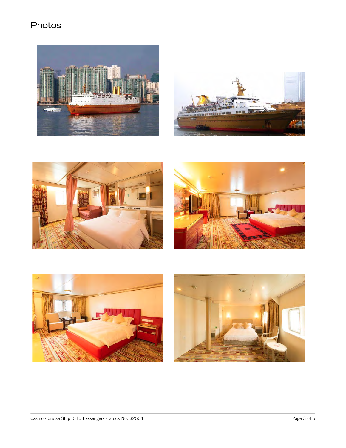## Photos











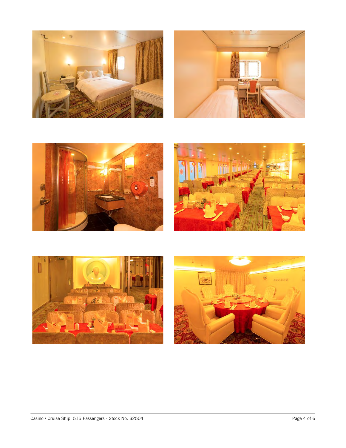









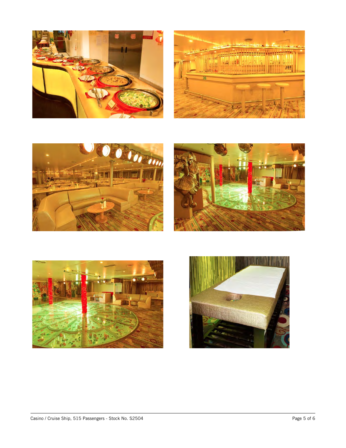